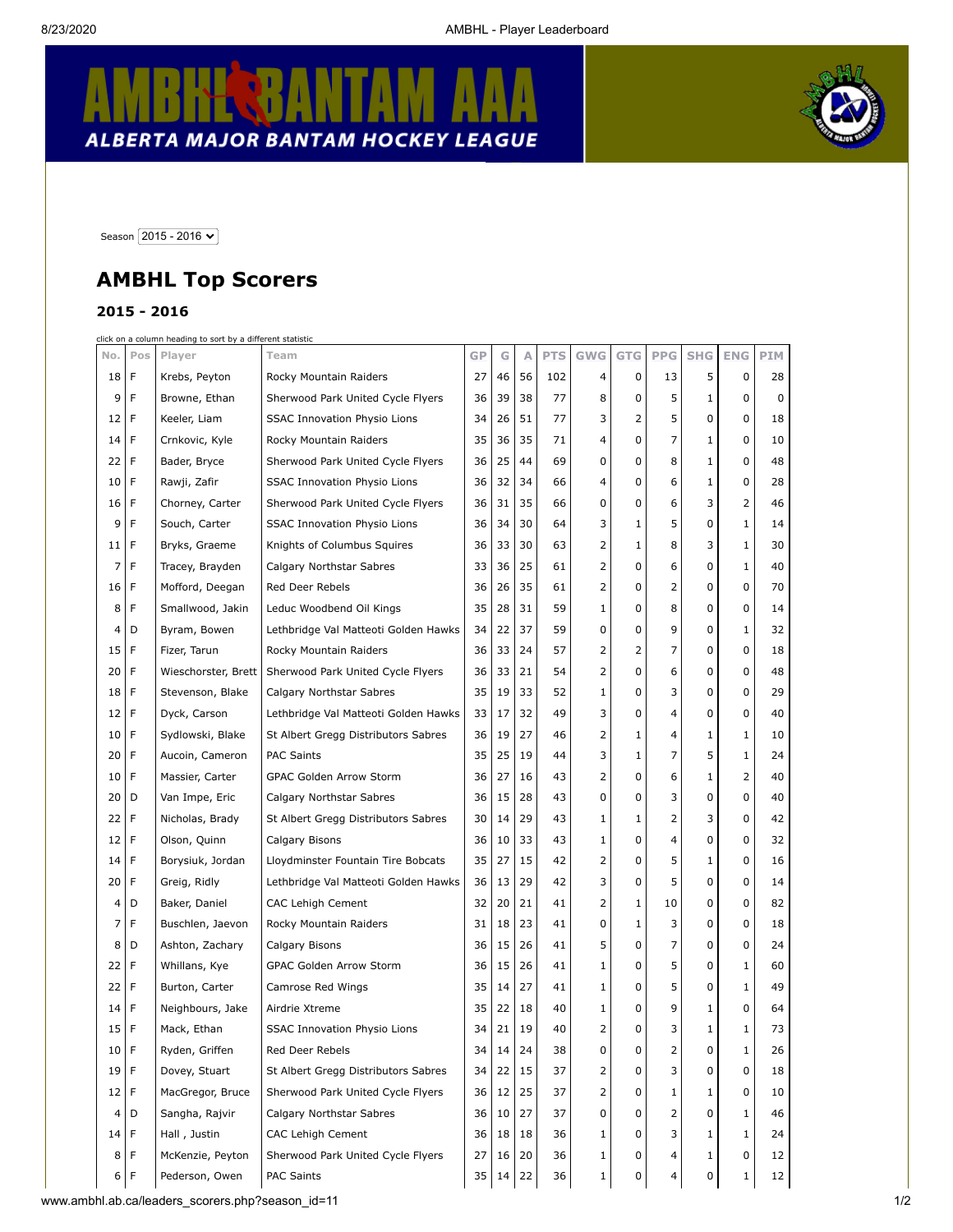## **KL BANTAM** R  $\pmb{\downarrow}$ ALBERTA MAJOR BANTAM HOCKEY LEAGUE



Season  $\boxed{2015 - 2016 \blacktriangleright}$ 

## **AMBHL Top Scorers**

## **2015 - 2016**

click on a column heading to sort by a different statistic

| No.             | Pos | Player              | Team                                 | GP | G  | Α  | <b>PTS</b> | <b>GWG</b> | <b>GTG</b>   | <b>PPG</b> | <b>SHG</b> | <b>ENG</b> | <b>PIM</b> |  |
|-----------------|-----|---------------------|--------------------------------------|----|----|----|------------|------------|--------------|------------|------------|------------|------------|--|
| 18              | F   | Krebs, Peyton       | Rocky Mountain Raiders               | 27 | 46 | 56 | 102        | 4          | 0            | 13         | 5          | 0          | 28         |  |
| 9               | F   | Browne, Ethan       | Sherwood Park United Cycle Flyers    | 36 | 39 | 38 | 77         | 8          | 0            | 5          | 1          | 0          | 0          |  |
| 12              | F   | Keeler, Liam        | <b>SSAC Innovation Physio Lions</b>  | 34 | 26 | 51 | 77         | 3          | 2            | 5          | 0          | 0          | 18         |  |
| 14              | F   | Crnkovic, Kyle      | Rocky Mountain Raiders               | 35 | 36 | 35 | 71         | 4          | 0            | 7          | 1          | 0          | 10         |  |
| 22              | F   | Bader, Bryce        | Sherwood Park United Cycle Flyers    | 36 | 25 | 44 | 69         | 0          | 0            | 8          | 1          | 0          | 48         |  |
| 10              | F   | Rawji, Zafir        | <b>SSAC Innovation Physio Lions</b>  | 36 | 32 | 34 | 66         | 4          | 0            | 6          | 1          | 0          | 28         |  |
| 16              | F   | Chorney, Carter     | Sherwood Park United Cycle Flyers    | 36 | 31 | 35 | 66         | 0          | 0            | 6          | 3          | 2          | 46         |  |
| 9               | F   | Souch, Carter       | <b>SSAC Innovation Physio Lions</b>  | 36 | 34 | 30 | 64         | 3          | 1            | 5          | 0          | 1          | 14         |  |
| 11              | F   | Bryks, Graeme       | Knights of Columbus Squires          | 36 | 33 | 30 | 63         | 2          | 1            | 8          | 3          | 1          | 30         |  |
| 7               | F   | Tracey, Brayden     | Calgary Northstar Sabres             | 33 | 36 | 25 | 61         | 2          | 0            | 6          | 0          | 1          | 40         |  |
| 16              | F   | Mofford, Deegan     | Red Deer Rebels                      | 36 | 26 | 35 | 61         | 2          | 0            | 2          | 0          | 0          | 70         |  |
| 8               | F   | Smallwood, Jakin    | Leduc Woodbend Oil Kings             | 35 | 28 | 31 | 59         | 1          | 0            | 8          | 0          | 0          | 14         |  |
| 4               | D   | Byram, Bowen        | Lethbridge Val Matteoti Golden Hawks | 34 | 22 | 37 | 59         | 0          | 0            | 9          | 0          | 1          | 32         |  |
| 15              | F   | Fizer, Tarun        | Rocky Mountain Raiders               | 36 | 33 | 24 | 57         | 2          | 2            | 7          | 0          | 0          | 18         |  |
| 20              | F   | Wieschorster, Brett | Sherwood Park United Cycle Flyers    | 36 | 33 | 21 | 54         | 2          | 0            | 6          | 0          | 0          | 48         |  |
| 18              | F   | Stevenson, Blake    | Calgary Northstar Sabres             | 35 | 19 | 33 | 52         | 1          | 0            | 3          | 0          | 0          | 29         |  |
| 12              | F   | Dyck, Carson        | Lethbridge Val Matteoti Golden Hawks | 33 | 17 | 32 | 49         | 3          | 0            | 4          | 0          | 0          | 40         |  |
| 10              | F   | Sydlowski, Blake    | St Albert Gregg Distributors Sabres  | 36 | 19 | 27 | 46         | 2          | 1            | 4          | 1          | 1          | 10         |  |
| 20              | F   | Aucoin, Cameron     | <b>PAC Saints</b>                    | 35 | 25 | 19 | 44         | 3          | 1            | 7          | 5          | 1          | 24         |  |
| 10              | F   | Massier, Carter     | GPAC Golden Arrow Storm              | 36 | 27 | 16 | 43         | 2          | 0            | 6          | 1          | 2          | 40         |  |
| 20              | D   | Van Impe, Eric      | Calgary Northstar Sabres             | 36 | 15 | 28 | 43         | 0          | 0            | 3          | 0          | 0          | 40         |  |
| 22              | F   | Nicholas, Brady     | St Albert Gregg Distributors Sabres  | 30 | 14 | 29 | 43         | 1          | $\mathbf{1}$ | 2          | 3          | 0          | 42         |  |
| 12              | F   | Olson, Quinn        | Calgary Bisons                       | 36 | 10 | 33 | 43         | 1          | 0            | 4          | 0          | 0          | 32         |  |
| 14              | F   | Borysiuk, Jordan    | Lloydminster Fountain Tire Bobcats   | 35 | 27 | 15 | 42         | 2          | 0            | 5          | 1          | 0          | 16         |  |
| 20              | F   | Greig, Ridly        | Lethbridge Val Matteoti Golden Hawks | 36 | 13 | 29 | 42         | 3          | 0            | 5          | 0          | 0          | 14         |  |
| 4               | D   | Baker, Daniel       | <b>CAC Lehigh Cement</b>             | 32 | 20 | 21 | 41         | 2          | 1            | 10         | 0          | 0          | 82         |  |
| 7               | F   | Buschlen, Jaevon    | Rocky Mountain Raiders               | 31 | 18 | 23 | 41         | 0          | 1            | 3          | 0          | 0          | 18         |  |
| 8               | D   | Ashton, Zachary     | Calgary Bisons                       | 36 | 15 | 26 | 41         | 5          | 0            | 7          | 0          | 0          | 24         |  |
| 22              | F   | Whillans, Kye       | <b>GPAC Golden Arrow Storm</b>       | 36 | 15 | 26 | 41         | 1          | 0            | 5          | 0          | 1          | 60         |  |
| 22              | F   | Burton, Carter      | Camrose Red Wings                    | 35 | 14 | 27 | 41         | 1          | 0            | 5          | 0          | 1          | 49         |  |
| 14              | F   | Neighbours, Jake    | Airdrie Xtreme                       | 35 | 22 | 18 | 40         | 1          | 0            | 9          | 1          | 0          | 64         |  |
| 15              | F   | Mack, Ethan         | <b>SSAC Innovation Physio Lions</b>  | 34 | 21 | 19 | 40         | 2          | 0            | 3          | 1          | 1          | 73         |  |
| 10              | F   | Ryden, Griffen      | Red Deer Rebels                      | 34 | 14 | 24 | 38         | 0          | 0            | 2          | 0          | 1          | 26         |  |
| 19 <sup>1</sup> | F   | Dovey, Stuart       | St Albert Gregg Distributors Sabres  | 34 | 22 | 15 | 37         | 2          | 0            | 3          | 0          | 0          | 18         |  |
| 12              | F   | MacGregor, Bruce    | Sherwood Park United Cycle Flyers    | 36 | 12 | 25 | 37         | 2          | 0            | 1          | 1          | 0          | 10         |  |
| 4 <sup>1</sup>  | D   | Sangha, Rajvir      | Calgary Northstar Sabres             | 36 | 10 | 27 | 37         | 0          | 0            | 2          | 0          | 1          | 46         |  |
| 14              | F   | Hall, Justin        | CAC Lehigh Cement                    | 36 | 18 | 18 | 36         | 1          | 0            | 3          | 1          | 1          | 24         |  |
| 8               | F   | McKenzie, Peyton    | Sherwood Park United Cycle Flyers    | 27 | 16 | 20 | 36         | 1          | 0            | 4          | 1          | 0          | 12         |  |
| 6 F             |     | Pederson, Owen      | PAC Saints                           | 35 | 14 | 22 | 36         | 1          | 0            | 4          | 0          | 1          | 12         |  |
|                 |     |                     |                                      |    |    |    |            |            |              |            |            |            |            |  |